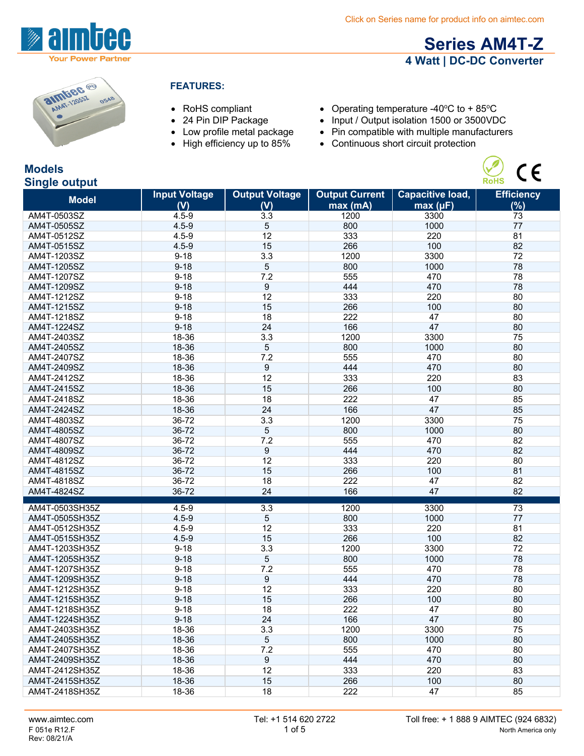

# **Series AM4T-Z 4 Watt | DC-DC Converter**

 $C \in$ 



#### **FEATURES:**

- 
- 
- 
- 
- RoHS compliant Operating temperature -40°C to + 85°C<br>• 24 Pin DIP Package Input / Output isolation 1500 or 3500VD
- 24 Pin DIP Package Input / Output isolation 1500 or 3500VDC<br>• Low profile metal package Pin compatible with multiple manufacturer
- Low profile metal package Pin compatible with multiple manufacturers<br>• High efficiency up to 85% Continuous short circuit protection
	- $\bullet$  Continuous short circuit protection

### **Models Single output**

| onigie output              |                             |                       |                                   |                                     |                   |
|----------------------------|-----------------------------|-----------------------|-----------------------------------|-------------------------------------|-------------------|
| <b>Model</b>               | <b>Input Voltage</b><br>(V) | <b>Output Voltage</b> | <b>Output Current</b><br>max (mA) | <b>Capacitive load,</b><br>max (µF) | <b>Efficiency</b> |
|                            |                             | (V)                   | 1200                              |                                     | $(\%)$            |
| AM4T-0503SZ<br>AM4T-0505SZ | $4.5 - 9$<br>$4.5 - 9$      | 3.3                   | 800                               | 3300<br>1000                        | 73<br>77          |
|                            | $4.5 - 9$                   | 5<br>12               | 333                               | 220                                 | 81                |
| AM4T-0512SZ                |                             | 15                    | 266                               | 100                                 | 82                |
| AM4T-0515SZ                | $4.5 - 9$                   |                       |                                   |                                     |                   |
| AM4T-1203SZ                | $9 - 18$                    | 3.3                   | 1200                              | 3300                                | 72                |
| AM4T-1205SZ                | $9 - 18$                    | 5                     | 800                               | 1000                                | 78                |
| AM4T-1207SZ                | $9 - 18$                    | 7.2                   | 555                               | 470                                 | 78                |
| AM4T-1209SZ                | $9 - 18$                    | 9                     | 444                               | 470                                 | 78                |
| AM4T-1212SZ                | $9 - 18$                    | 12                    | 333                               | 220                                 | 80                |
| AM4T-1215SZ                | $9 - 18$                    | 15                    | 266                               | 100                                 | 80                |
| AM4T-1218SZ                | $9 - 18$                    | 18                    | 222                               | 47                                  | 80                |
| AM4T-1224SZ                | $9 - 18$                    | 24                    | 166                               | 47                                  | 80                |
| AM4T-2403SZ                | 18-36                       | 3.3                   | 1200                              | 3300                                | 75                |
| AM4T-2405SZ                | 18-36                       | 5                     | 800                               | 1000                                | 80                |
| AM4T-2407SZ                | 18-36                       | 7.2                   | 555                               | 470                                 | 80                |
| AM4T-2409SZ                | 18-36                       | 9                     | 444                               | 470                                 | 80                |
| AM4T-2412SZ                | 18-36                       | 12                    | 333                               | 220                                 | 83                |
| AM4T-2415SZ                | 18-36                       | 15                    | 266                               | 100                                 | 80                |
| AM4T-2418SZ                | 18-36                       | 18                    | 222                               | 47                                  | 85                |
| AM4T-2424SZ                | 18-36                       | 24                    | 166                               | 47                                  | 85                |
| AM4T-4803SZ                | 36-72                       | 3.3                   | 1200                              | 3300                                | 75                |
| AM4T-4805SZ                | 36-72                       | 5                     | 800                               | 1000                                | 80                |
| AM4T-4807SZ                | 36-72                       | 7.2                   | 555                               | 470                                 | 82                |
| AM4T-4809SZ                | 36-72                       | 9                     | 444                               | 470                                 | 82                |
| AM4T-4812SZ                | 36-72                       | 12                    | 333                               | 220                                 | 80                |
| AM4T-4815SZ                | 36-72                       | 15                    | 266                               | 100                                 | 81                |
| AM4T-4818SZ                | 36-72                       | 18                    | 222                               | 47                                  | 82                |
| AM4T-4824SZ                | 36-72                       | 24                    | 166                               | 47                                  | 82                |
|                            |                             |                       |                                   |                                     |                   |
| AM4T-0503SH35Z             | $4.5 - 9$                   | 3.3                   | 1200                              | 3300                                | $\overline{73}$   |
| AM4T-0505SH35Z             | $4.5 - 9$                   | 5                     | 800                               | 1000                                | 77                |
| AM4T-0512SH35Z             | $4.5 - 9$                   | 12                    | 333                               | 220                                 | 81                |
| AM4T-0515SH35Z             | $4.5 - 9$                   | 15                    | 266                               | 100                                 | 82                |
| AM4T-1203SH35Z             | $9 - 18$                    | 3.3                   | 1200                              | 3300                                | 72                |
| AM4T-1205SH35Z             | $9 - 18$                    | 5                     | 800                               | 1000                                | 78                |
| AM4T-1207SH35Z             | $9 - 18$                    | 7.2                   | 555                               | 470                                 | 78                |
| AM4T-1209SH35Z             | $9 - 18$                    | 9                     | 444                               | 470                                 | 78                |
| AM4T-1212SH35Z             | $9 - 18$                    | 12                    | 333                               | 220                                 | 80                |
| AM4T-1215SH35Z             | $9 - 18$                    | 15                    | 266                               | 100                                 | 80                |
| AM4T-1218SH35Z             | $9 - 18$                    | 18                    | 222                               | 47                                  | 80                |
| AM4T-1224SH35Z             | $9 - 18$                    | 24                    | 166                               | 47                                  | 80                |
| AM4T-2403SH35Z             | 18-36                       | 3.3                   | 1200                              | 3300                                | 75                |
| AM4T-2405SH35Z             | 18-36                       | 5                     | 800                               | 1000                                | 80                |
| AM4T-2407SH35Z             | 18-36                       | 7.2                   | 555                               | 470                                 | 80                |
| AM4T-2409SH35Z             | 18-36                       | 9                     | 444                               | 470                                 | 80                |
| AM4T-2412SH35Z             | 18-36                       | 12                    | 333                               | 220                                 | 83                |
| AM4T-2415SH35Z             | 18-36                       | 15                    | 266                               | 100                                 | 80                |
| AM4T-2418SH35Z             | 18-36                       | 18                    | 222                               | 47                                  | 85                |
|                            |                             |                       |                                   |                                     |                   |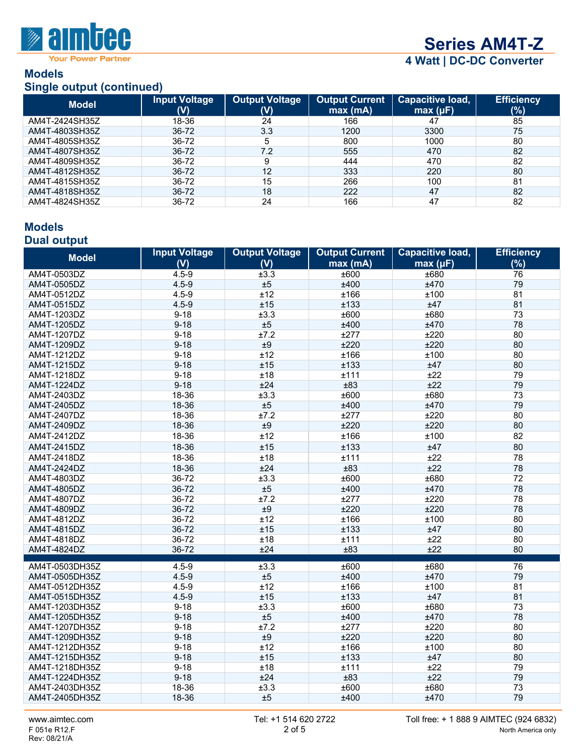

**Series AM4T-Z**

**4 Watt | DC-DC Converter**

#### **Models Single output (continued)**

|                | <b>Olligia Output (COIRTINGU)</b> |                              |                                  |                              |                          |  |
|----------------|-----------------------------------|------------------------------|----------------------------------|------------------------------|--------------------------|--|
| <b>Model</b>   | Input Voltage<br>$(\mathsf{V})$   | <b>Output Voltage</b><br>(V) | <b>Output Current</b><br>max(mA) | Capacitive load,<br>max (µF) | <b>Efficiency</b><br>(%) |  |
| AM4T-2424SH35Z | 18-36                             | 24                           | 166                              | 47                           | 85                       |  |
| AM4T-4803SH35Z | 36-72                             | 3.3                          | 1200                             | 3300                         | 75                       |  |
| AM4T-4805SH35Z | 36-72                             | 5                            | 800                              | 1000                         | 80                       |  |
| AM4T-4807SH35Z | 36-72                             | 7.2                          | 555                              | 470                          | 82                       |  |
| AM4T-4809SH35Z | 36-72                             | 9                            | 444                              | 470                          | 82                       |  |
| AM4T-4812SH35Z | $36 - 72$                         | 12                           | 333                              | 220                          | 80                       |  |
| AM4T-4815SH35Z | 36-72                             | 15                           | 266                              | 100                          | 81                       |  |
| AM4T-4818SH35Z | 36-72                             | 18                           | 222                              | 47                           | 82                       |  |
| AM4T-4824SH35Z | 36-72                             | 24                           | 166                              | 47                           | 82                       |  |

#### **Models Dual output**

| <b>Model</b>                     | <b>Input Voltage</b>   | <b>Output Voltage</b> | <b>Output Current</b> | Capacitive load, | <b>Efficiency</b> |
|----------------------------------|------------------------|-----------------------|-----------------------|------------------|-------------------|
|                                  | (V)                    | (V)                   | max(mA)               | max (µF)         | (%)               |
| AM4T-0503DZ                      | $4.5 - 9$              | ±3.3                  | ±600                  | ±680             | 76                |
| AM4T-0505DZ                      | $4.5 - 9$              | ±5                    | ±400                  | ±470             | 79                |
| AM4T-0512DZ                      | $4.5 - 9$              | ±12                   | ±166                  | ±100             | 81                |
| AM4T-0515DZ                      | $4.5 - 9$              | ±15                   | ±133                  | ±47              | 81                |
| AM4T-1203DZ                      | $9 - 18$               | ±3.3                  | ±600                  | ±680             | 73                |
| AM4T-1205DZ                      | $9 - 18$               | ±5                    | ±400                  | ±470             | 78                |
| AM4T-1207DZ                      | $9 - 18$               | ±7.2                  | ±277                  | ±220             | 80                |
| AM4T-1209DZ                      | $9 - 18$               | ±9                    | ±220                  | ±220             | 80                |
| AM4T-1212DZ                      | $9 - 18$               | ±12                   | ±166                  | ±100             | 80                |
| AM4T-1215DZ                      | $9 - 18$               | ±15                   | ±133                  | ±47              | 80                |
| AM4T-1218DZ                      | $9 - 18$               | ±18                   | ±111                  | ±22              | 79                |
| AM4T-1224DZ                      | $9 - 18$               | ±24                   | ±83                   | ±22              | 79                |
| AM4T-2403DZ                      | 18-36                  | ±3.3                  | ±600                  | ±680             | 73                |
| AM4T-2405DZ                      | 18-36                  | ±5                    | ±400                  | ±470             | 79                |
| AM4T-2407DZ                      | 18-36                  | ±7.2                  | ±277                  | ±220             | 80                |
| AM4T-2409DZ                      | 18-36                  | ±9                    | ±220                  | ±220             | 80                |
| AM4T-2412DZ                      | 18-36                  | ±12                   | ±166                  | ±100             | 82                |
| AM4T-2415DZ                      | 18-36                  | ±15                   | ±133                  | ±47              | 80                |
| AM4T-2418DZ                      | 18-36                  | ±18                   | ±111                  | ±22              | 78                |
| AM4T-2424DZ                      | 18-36                  | ±24                   | ±83                   | ±22              | 78                |
| AM4T-4803DZ                      | 36-72                  | ±3.3                  | ±600                  | ±680             | 72                |
| AM4T-4805DZ                      | 36-72                  | ±5                    | ±400                  | ±470             | 78                |
| AM4T-4807DZ                      | 36-72                  | ±7.2                  | ±277                  | ±220             | 78                |
| AM4T-4809DZ                      | 36-72                  | ±9                    | ±220                  | ±220             | 78                |
| AM4T-4812DZ                      | 36-72                  | ±12                   | ±166                  | ±100             | 80                |
| AM4T-4815DZ                      | 36-72                  | ±15                   | ±133                  | ±47              | 80                |
| AM4T-4818DZ                      | 36-72                  | ±18                   | ±111                  | ±22              | 80                |
| AM4T-4824DZ                      | 36-72                  | ±24                   | ±83                   | ±22              | 80                |
|                                  |                        |                       |                       |                  |                   |
| AM4T-0503DH35Z<br>AM4T-0505DH35Z | $4.5 - 9$<br>$4.5 - 9$ | ±3.3<br>±5            | ±600<br>±400          | ±680<br>±470     | 76<br>79          |
| AM4T-0512DH35Z                   | $4.5 - 9$              | ±12                   | ±166                  | ±100             | 81                |
| AM4T-0515DH35Z                   | $4.5 - 9$              | ±15                   | ±133                  | ±47              | 81                |
| AM4T-1203DH35Z                   | $9 - 18$               | ±3.3                  | ±600                  | ±680             | 73                |
| AM4T-1205DH35Z                   | $9 - 18$               | ±5                    | ±400                  | ±470             | 78                |
| AM4T-1207DH35Z                   | $9 - 18$               | ±7.2                  | ±277                  | ±220             | 80                |
| AM4T-1209DH35Z                   | $9 - 18$               | ±9                    | ±220                  | ±220             | 80                |
| AM4T-1212DH35Z                   | $9 - 18$               | ±12                   | ±166                  | ±100             | 80                |
| AM4T-1215DH35Z                   | $9 - 18$               | ±15                   | ±133                  | ±47              | 80                |
| AM4T-1218DH35Z                   | $9 - 18$               | ±18                   | ±111                  | ±22              | 79                |
| AM4T-1224DH35Z                   | $9 - 18$               | ±24                   | ±83                   | ±22              | 79                |
| AM4T-2403DH35Z                   | 18-36                  | ±3.3                  | ±600                  | ±680             | 73                |
| AM4T-2405DH35Z                   | 18-36                  | ±5                    | ±400                  | ±470             | 79                |
|                                  |                        |                       |                       |                  |                   |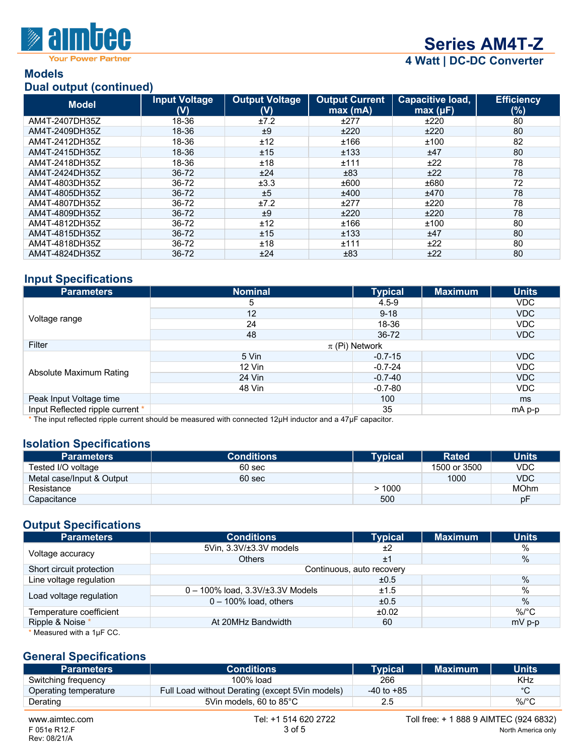

**Your Power Partner** 

# **Series AM4T-Z**

**4 Watt | DC-DC Converter**

#### **Models Dual output (continued)**

| $P^{\alpha}$   |                             |                                         |                                  |                                     |                          |
|----------------|-----------------------------|-----------------------------------------|----------------------------------|-------------------------------------|--------------------------|
| <b>Model</b>   | <b>Input Voltage</b><br>(V) | <b>Output Voltage</b><br>$(\mathsf{V})$ | <b>Output Current</b><br>max(mA) | <b>Capacitive load,</b><br>max (µF) | <b>Efficiency</b><br>(%) |
| AM4T-2407DH35Z | 18-36                       | ±7.2                                    | ±277                             | ±220                                | 80                       |
| AM4T-2409DH35Z | 18-36                       | ±9                                      | ±220                             | ±220                                | 80                       |
| AM4T-2412DH35Z | 18-36                       | ±12                                     | ±166                             | ±100                                | 82                       |
| AM4T-2415DH35Z | 18-36                       | ±15                                     | ±133                             | ±47                                 | 80                       |
| AM4T-2418DH35Z | 18-36                       | ±18                                     | ±111                             | ±22                                 | 78                       |
| AM4T-2424DH35Z | 36-72                       | ±24                                     | ±83                              | ±22                                 | 78                       |
| AM4T-4803DH35Z | 36-72                       | ±3.3                                    | ±600                             | ±680                                | 72                       |
| AM4T-4805DH35Z | 36-72                       | ±5                                      | ±400                             | ±470                                | 78                       |
| AM4T-4807DH35Z | 36-72                       | ±7.2                                    | ±277                             | ±220                                | 78                       |
| AM4T-4809DH35Z | 36-72                       | ±9                                      | ±220                             | ±220                                | 78                       |
| AM4T-4812DH35Z | 36-72                       | ±12                                     | ±166                             | ±100                                | 80                       |
| AM4T-4815DH35Z | 36-72                       | ±15                                     | ±133                             | ±47                                 | 80                       |
| AM4T-4818DH35Z | 36-72                       | ±18                                     | ±111                             | ±22                                 | 80                       |
| AM4T-4824DH35Z | 36-72                       | ±24                                     | ±83                              | ±22                                 | 80                       |

# **Input Specifications**

| <b>Parameters</b>                | <b>Nominal</b>     | <b>Typical</b> | <b>Maximum</b> | <b>Units</b>  |  |
|----------------------------------|--------------------|----------------|----------------|---------------|--|
|                                  | 5                  | $4.5 - 9$      |                | VDC.          |  |
|                                  | 12                 | $9 - 18$       |                | VDC           |  |
| Voltage range                    | 24                 | 18-36          |                | VDC           |  |
|                                  | 48                 | 36-72          |                | VDC           |  |
| Filter                           | $\pi$ (Pi) Network |                |                |               |  |
| Absolute Maximum Rating          | 5 Vin              | $-0.7 - 15$    |                | VDC           |  |
|                                  | $12$ Vin           | $-0.7 - 24$    |                | VDC           |  |
|                                  | 24 Vin             | $-0.7 - 40$    |                | VDC           |  |
|                                  | 48 Vin             | $-0.7 - 80$    |                | VDC           |  |
| Peak Input Voltage time          |                    | 100            |                | <sub>ms</sub> |  |
| Input Reflected ripple current * |                    | 35             |                | mA p-p        |  |

\* The input reflected ripple current should be measured with connected 12µH inductor and a 47µF capacitor.

#### **Isolation Specifications**

| <b>Parameters</b>         | <b>Conditions</b> | Tvpical ' | <b>Rated</b> | <b>Units</b> |
|---------------------------|-------------------|-----------|--------------|--------------|
| Tested I/O voltage        | 60 sec            |           | 1500 or 3500 | <b>VDC</b>   |
| Metal case/Input & Output | 60 sec            |           | 1000         | <b>VDC</b>   |
| Resistance                |                   | > 1000    |              | <b>MOhm</b>  |
| Capacitance               |                   | 500       |              | рF           |

## **Output Specifications**

| <b>Parameters</b>         | <b>Conditions</b>                        | <b>Typical</b> | <b>Maximum</b> | <b>Units</b> |  |
|---------------------------|------------------------------------------|----------------|----------------|--------------|--|
| Voltage accuracy          | 5Vin, 3.3V/±3.3V models                  | ±2             |                | $\%$         |  |
|                           | <b>Others</b>                            | ±1             |                | %            |  |
| Short circuit protection  | Continuous, auto recovery                |                |                |              |  |
| Line voltage regulation   |                                          | ±0.5           |                | $\%$         |  |
| Load voltage regulation   | $0 - 100\%$ load, $3.3V/\pm 3.3V$ Models | ±1.5           |                | %            |  |
|                           | $0 - 100\%$ load, others                 | ±0.5           |                | $\%$         |  |
| Temperature coefficient   |                                          | ±0.02          |                | $\%$ /°C     |  |
| Ripple & Noise *          | At 20MHz Bandwidth                       | 60             |                | $mV$ p-p     |  |
| * Measured with a 1µF CC. |                                          |                |                |              |  |

#### **General Specifications**

| <b>Parameters</b>              | <b>Conditions</b>                               | <b>Typical</b> | <b>Maximum</b>                         | <b>Units</b>       |
|--------------------------------|-------------------------------------------------|----------------|----------------------------------------|--------------------|
| Switching frequency            | $100\%$ load                                    | 266            |                                        | <b>KHz</b>         |
| Operating temperature          | Full Load without Derating (except 5Vin models) | $-40$ to $+85$ |                                        | °C                 |
| Derating                       | 5Vin models, 60 to 85°C                         | 2.5            |                                        | $\%$ /°C           |
| www.aimtec.com<br>F 051e R12.F | Tel: +1 514 620 2722<br>3 of 5                  |                | Toll free: + 1 888 9 AIMTEC (924 6832) | North America only |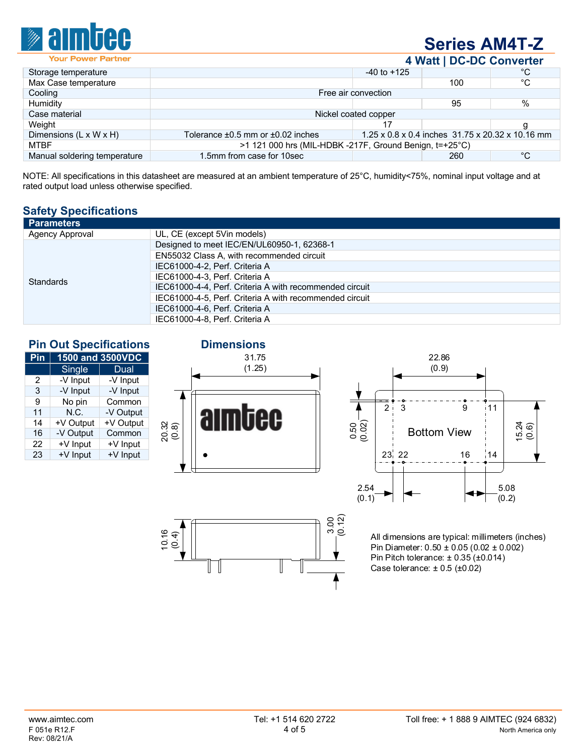

# **Series AM4T-Z**

**4 Watt | DC-DC Converter**

|                                    |                                                           |                 | .                                                |              |
|------------------------------------|-----------------------------------------------------------|-----------------|--------------------------------------------------|--------------|
| Storage temperature                |                                                           | $-40$ to $+125$ |                                                  | °C           |
| Max Case temperature               |                                                           |                 | 100                                              | °C           |
| Cooling                            | Free air convection                                       |                 |                                                  |              |
| Humidity                           |                                                           |                 | 95                                               | %            |
| Case material                      | Nickel coated copper                                      |                 |                                                  |              |
| Weight                             |                                                           |                 |                                                  |              |
| Dimensions $(L \times W \times H)$ | Tolerance $\pm 0.5$ mm or $\pm 0.02$ inches               |                 | 1.25 x 0.8 x 0.4 inches 31.75 x 20.32 x 10.16 mm |              |
| MTBF                               | $>1$ 121 000 hrs (MIL-HDBK -217F, Ground Benign, t=+25°C) |                 |                                                  |              |
| Manual soldering temperature       | 1.5mm from case for 10sec                                 |                 | 260                                              | $^{\circ}$ C |
|                                    |                                                           |                 |                                                  |              |

NOTE: All specifications in this datasheet are measured at an ambient temperature of 25°C, humidity<75%, nominal input voltage and at rated output load unless otherwise specified.

## **Safety Specifications**

| <b>Parameters</b>      |                                                         |
|------------------------|---------------------------------------------------------|
| <b>Agency Approval</b> | UL, CE (except 5Vin models)                             |
|                        | Designed to meet IEC/EN/UL60950-1, 62368-1              |
|                        | EN55032 Class A, with recommended circuit               |
| <b>Standards</b>       | IEC61000-4-2, Perf. Criteria A                          |
|                        | IEC61000-4-3, Perf. Criteria A                          |
|                        | IEC61000-4-4, Perf. Criteria A with recommended circuit |
|                        | IEC61000-4-5, Perf. Criteria A with recommended circuit |
|                        | IEC61000-4-6, Perf. Criteria A                          |
|                        | IEC61000-4-8. Perf. Criteria A                          |

# **Pin Out Specifications Dimensions**

| Pin | 1500 and 3500VDC |             |  |  |  |
|-----|------------------|-------------|--|--|--|
|     | Single           | <b>Dual</b> |  |  |  |
| 2   | -V Input         | -V Input    |  |  |  |
| 3   | -V Input         | -V Input    |  |  |  |
| 9   | No pin           | Common      |  |  |  |
| 11  | N.C.             | -V Output   |  |  |  |
| 14  | +V Output        | +V Output   |  |  |  |
| 16  | -V Output        | Common      |  |  |  |
| 22  | +V Input         | +V Input    |  |  |  |
| 23  | +V Input         | +V Input    |  |  |  |

१९<br>१०.म

UU





All dimensions are typical: millimeters (inches) Pin Diameter: 0.50 ± 0.05 (0.02 ± 0.002) Pin Pitch tolerance: ± 0.35 (±0.014) Case tolerance:  $\pm$  0.5 ( $\pm$ 0.02)